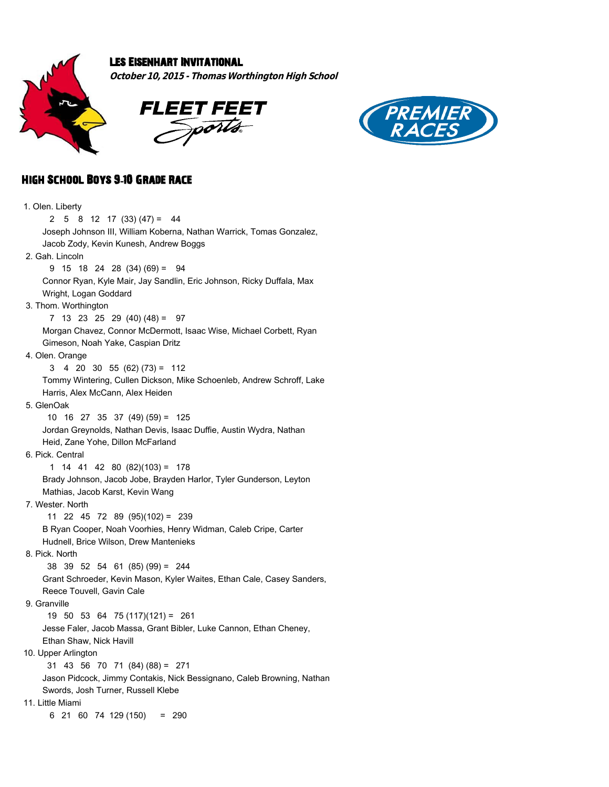

## Les Eisenhart Invitational

**October 10, 2015 - Thomas Worthington High School**





## High School Boys 9**-**10 Grade Race

| 1. Olen. Liberty                                                       |
|------------------------------------------------------------------------|
| 2<br>$5 \t 8 \t 12 \t 17 \t (33) \t (47) = \t 44$                      |
| Joseph Johnson III, William Koberna, Nathan Warrick, Tomas Gonzalez,   |
| Jacob Zody, Kevin Kunesh, Andrew Boggs                                 |
| 2. Gah. Lincoln                                                        |
| $9$ 15 18 24 28 (34) (69) = 94                                         |
| Connor Ryan, Kyle Mair, Jay Sandlin, Eric Johnson, Ricky Duffala, Max  |
| Wright, Logan Goddard                                                  |
| 3. Thom. Worthington                                                   |
| $7$ 13 23 25 29 (40) (48) =<br>97                                      |
| Morgan Chavez, Connor McDermott, Isaac Wise, Michael Corbett, Ryan     |
| Gimeson, Noah Yake, Caspian Dritz                                      |
| 4. Olen. Orange                                                        |
| 4 20 30 55 $(62)$ $(73) = 112$<br>3                                    |
| Tommy Wintering, Cullen Dickson, Mike Schoenleb, Andrew Schroff, Lake  |
| Harris, Alex McCann, Alex Heiden                                       |
| 5. GlenOak                                                             |
| 10 16 27 35 37 (49) (59) = 125                                         |
| Jordan Greynolds, Nathan Devis, Isaac Duffie, Austin Wydra, Nathan     |
| Heid, Zane Yohe, Dillon McFarland                                      |
| 6. Pick. Central                                                       |
| $1 \t14 \t41 \t42 \t80 \t(82)(103) = 178$                              |
| Brady Johnson, Jacob Jobe, Brayden Harlor, Tyler Gunderson, Leyton     |
| Mathias, Jacob Karst, Kevin Wang                                       |
| 7. Wester, North                                                       |
| 11 22 45 72 89 (95)(102) = 239                                         |
| B Ryan Cooper, Noah Voorhies, Henry Widman, Caleb Cripe, Carter        |
| Hudnell, Brice Wilson, Drew Mantenieks                                 |
| 8. Pick. North                                                         |
| 38 39 52 54 61 (85) (99) = 244                                         |
| Grant Schroeder, Kevin Mason, Kyler Waites, Ethan Cale, Casey Sanders, |
| Reece Touvell, Gavin Cale                                              |
| 9. Granville                                                           |
| $19$ 50 53 64 75 (117)(121) = 261                                      |
| Jesse Faler, Jacob Massa, Grant Bibler, Luke Cannon, Ethan Cheney,     |
| Ethan Shaw, Nick Havill                                                |
| 10. Upper Arlington                                                    |
| 31 43 56 70 71 (84) (88) = 271                                         |
| Jason Pidcock, Jimmy Contakis, Nick Bessignano, Caleb Browning, Nathan |
| Swords, Josh Turner, Russell Klebe                                     |
| 11. Little Miami                                                       |
| 6 21 60 74 129 (150)<br>$= 290$                                        |
|                                                                        |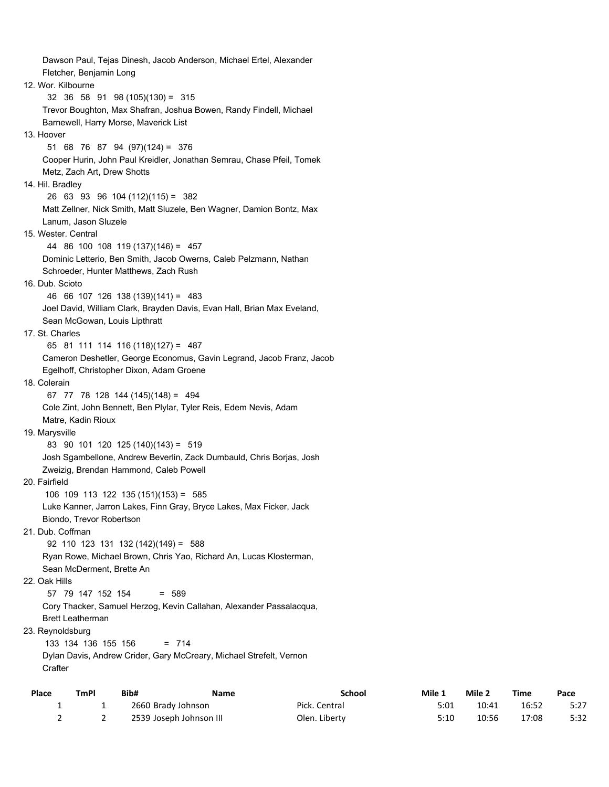Dawson Paul, Tejas Dinesh, Jacob Anderson, Michael Ertel, Alexander Fletcher, Benjamin Long 12. Wor. Kilbourne 32 36 58 91 98 (105)(130) = 315 Trevor Boughton, Max Shafran, Joshua Bowen, Randy Findell, Michael Barnewell, Harry Morse, Maverick List 13. Hoover 51 68 76 87 94 (97)(124) = 376 Cooper Hurin, John Paul Kreidler, Jonathan Semrau, Chase Pfeil, Tomek Metz, Zach Art, Drew Shotts 14. Hil. Bradley 26 63 93 96 104 (112)(115) = 382 Matt Zellner, Nick Smith, Matt Sluzele, Ben Wagner, Damion Bontz, Max Lanum, Jason Sluzele 15. Wester. Central 44 86 100 108 119 (137)(146) = 457 Dominic Letterio, Ben Smith, Jacob Owerns, Caleb Pelzmann, Nathan Schroeder, Hunter Matthews, Zach Rush 16. Dub. Scioto 46 66 107 126 138 (139)(141) = 483 Joel David, William Clark, Brayden Davis, Evan Hall, Brian Max Eveland, Sean McGowan, Louis Lipthratt 17. St. Charles 65 81 111 114 116 (118)(127) = 487 Cameron Deshetler, George Economus, Gavin Legrand, Jacob Franz, Jacob Egelhoff, Christopher Dixon, Adam Groene 18. Colerain 67 77 78 128 144 (145)(148) = 494 Cole Zint, John Bennett, Ben Plylar, Tyler Reis, Edem Nevis, Adam Matre, Kadin Rioux 19. Marysville 83 90 101 120 125 (140)(143) = 519 Josh Sgambellone, Andrew Beverlin, Zack Dumbauld, Chris Borjas, Josh Zweizig, Brendan Hammond, Caleb Powell 20. Fairfield 106 109 113 122 135 (151)(153) = 585 Luke Kanner, Jarron Lakes, Finn Gray, Bryce Lakes, Max Ficker, Jack Biondo, Trevor Robertson 21. Dub. Coffman 92 110 123 131 132 (142)(149) = 588 Ryan Rowe, Michael Brown, Chris Yao, Richard An, Lucas Klosterman, Sean McDerment, Brette An 22. Oak Hills 57 79 147 152 154 = 589 Cory Thacker, Samuel Herzog, Kevin Callahan, Alexander Passalacqua, Brett Leatherman 23. Reynoldsburg 133 134 136 155 156 = 714 Dylan Davis, Andrew Crider, Gary McCreary, Michael Strefelt, Vernon **Crafter** 

| Place | <b>TmPI</b> | Bib# | Name                    | School        | Mile 1 | Mile 2 | <b>Time</b> | Pace |
|-------|-------------|------|-------------------------|---------------|--------|--------|-------------|------|
|       |             |      | 2660 Brady Johnson      | Pick. Central | 5:01   | 10:41  | 16:52       | 5:27 |
|       |             |      | 2539 Joseph Johnson III | Olen. Liberty | 5:10   | 10:56  | 17:08       | 5:32 |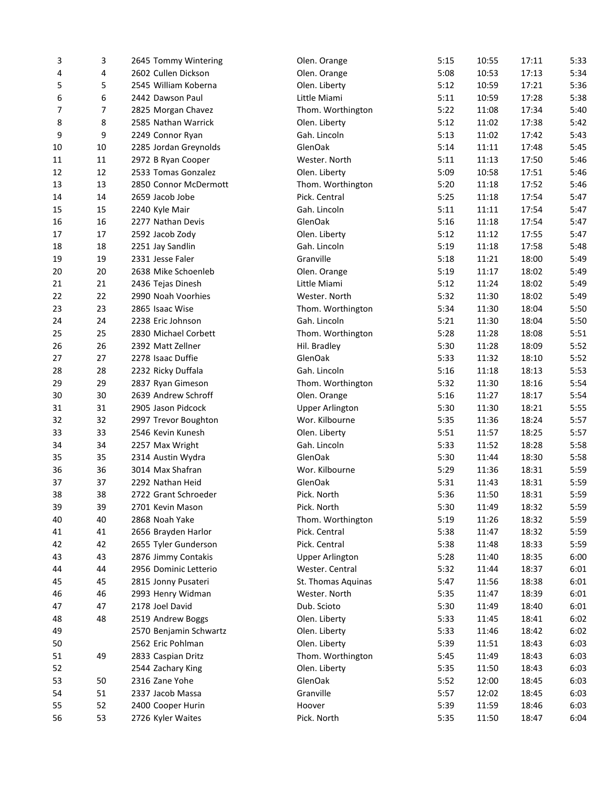| 3  | 3      | 2645 Tommy Wintering   | Olen. Orange           | 5:15 | 10:55 | 17:11          | 5:33 |
|----|--------|------------------------|------------------------|------|-------|----------------|------|
| 4  | 4      | 2602 Cullen Dickson    | Olen. Orange           | 5:08 | 10:53 | 17:13          | 5:34 |
| 5  | 5      | 2545 William Koberna   | Olen. Liberty          | 5:12 | 10:59 | 17:21          | 5:36 |
| 6  | 6      | 2442 Dawson Paul       | Little Miami           | 5:11 | 10:59 | 17:28          | 5:38 |
| 7  | 7      | 2825 Morgan Chavez     | Thom. Worthington      | 5:22 | 11:08 | 17:34          | 5:40 |
| 8  | 8      | 2585 Nathan Warrick    | Olen. Liberty          | 5:12 | 11:02 | 17:38          | 5:42 |
| 9  | 9      | 2249 Connor Ryan       | Gah. Lincoln           | 5:13 | 11:02 | 17:42          | 5:43 |
| 10 | $10\,$ | 2285 Jordan Greynolds  | GlenOak                | 5:14 | 11:11 | 17:48          | 5:45 |
| 11 | 11     | 2972 B Ryan Cooper     | Wester. North          | 5:11 | 11:13 | 17:50          | 5:46 |
| 12 | 12     | 2533 Tomas Gonzalez    | Olen. Liberty          | 5:09 | 10:58 | 17:51          | 5:46 |
| 13 | 13     | 2850 Connor McDermott  | Thom. Worthington      | 5:20 | 11:18 | 17:52          | 5:46 |
| 14 | 14     | 2659 Jacob Jobe        | Pick. Central          | 5:25 | 11:18 | 17:54          | 5:47 |
| 15 | 15     | 2240 Kyle Mair         | Gah. Lincoln           | 5:11 | 11:11 | 17:54          | 5:47 |
| 16 | 16     | 2277 Nathan Devis      | GlenOak                | 5:16 | 11:18 | 17:54          | 5:47 |
| 17 | 17     | 2592 Jacob Zody        | Olen. Liberty          | 5:12 | 11:12 | 17:55          | 5:47 |
| 18 | 18     | 2251 Jay Sandlin       | Gah. Lincoln           | 5:19 | 11:18 | 17:58          | 5:48 |
| 19 | 19     | 2331 Jesse Faler       | Granville              | 5:18 | 11:21 | 18:00          | 5:49 |
| 20 | $20\,$ | 2638 Mike Schoenleb    | Olen. Orange           | 5:19 | 11:17 | 18:02          | 5:49 |
| 21 | 21     | 2436 Tejas Dinesh      | Little Miami           | 5:12 | 11:24 | 18:02          | 5:49 |
| 22 | 22     | 2990 Noah Voorhies     | Wester. North          | 5:32 | 11:30 | 18:02          | 5:49 |
| 23 | 23     | 2865 Isaac Wise        | Thom. Worthington      | 5:34 | 11:30 | 18:04          | 5:50 |
|    |        | 2238 Eric Johnson      | Gah. Lincoln           | 5:21 |       |                | 5:50 |
| 24 | 24     | 2830 Michael Corbett   | Thom. Worthington      | 5:28 | 11:30 | 18:04<br>18:08 | 5:51 |
| 25 | 25     |                        |                        |      | 11:28 |                |      |
| 26 | 26     | 2392 Matt Zellner      | Hil. Bradley           | 5:30 | 11:28 | 18:09          | 5:52 |
| 27 | 27     | 2278 Isaac Duffie      | GlenOak                | 5:33 | 11:32 | 18:10          | 5:52 |
| 28 | 28     | 2232 Ricky Duffala     | Gah. Lincoln           | 5:16 | 11:18 | 18:13          | 5:53 |
| 29 | 29     | 2837 Ryan Gimeson      | Thom. Worthington      | 5:32 | 11:30 | 18:16          | 5:54 |
| 30 | 30     | 2639 Andrew Schroff    | Olen. Orange           | 5:16 | 11:27 | 18:17          | 5:54 |
| 31 | 31     | 2905 Jason Pidcock     | <b>Upper Arlington</b> | 5:30 | 11:30 | 18:21          | 5:55 |
| 32 | 32     | 2997 Trevor Boughton   | Wor. Kilbourne         | 5:35 | 11:36 | 18:24          | 5:57 |
| 33 | 33     | 2546 Kevin Kunesh      | Olen. Liberty          | 5:51 | 11:57 | 18:25          | 5:57 |
| 34 | 34     | 2257 Max Wright        | Gah. Lincoln           | 5:33 | 11:52 | 18:28          | 5:58 |
| 35 | 35     | 2314 Austin Wydra      | GlenOak                | 5:30 | 11:44 | 18:30          | 5:58 |
| 36 | 36     | 3014 Max Shafran       | Wor. Kilbourne         | 5:29 | 11:36 | 18:31          | 5:59 |
| 37 | 37     | 2292 Nathan Heid       | GlenOak                | 5:31 | 11:43 | 18:31          | 5:59 |
| 38 | 38     | 2722 Grant Schroeder   | Pick. North            | 5:36 | 11:50 | 18:31          | 5:59 |
| 39 | 39     | 2701 Kevin Mason       | Pick. North            | 5:30 | 11:49 | 18:32          | 5:59 |
| 40 | 40     | 2868 Noah Yake         | Thom. Worthington      | 5:19 | 11:26 | 18:32          | 5:59 |
| 41 | 41     | 2656 Brayden Harlor    | Pick. Central          | 5:38 | 11:47 | 18:32          | 5:59 |
| 42 | 42     | 2655 Tyler Gunderson   | Pick. Central          | 5:38 | 11:48 | 18:33          | 5:59 |
| 43 | 43     | 2876 Jimmy Contakis    | <b>Upper Arlington</b> | 5:28 | 11:40 | 18:35          | 6:00 |
| 44 | 44     | 2956 Dominic Letterio  | Wester. Central        | 5:32 | 11:44 | 18:37          | 6:01 |
| 45 | 45     | 2815 Jonny Pusateri    | St. Thomas Aquinas     | 5:47 | 11:56 | 18:38          | 6:01 |
| 46 | 46     | 2993 Henry Widman      | Wester. North          | 5:35 | 11:47 | 18:39          | 6:01 |
| 47 | 47     | 2178 Joel David        | Dub. Scioto            | 5:30 | 11:49 | 18:40          | 6:01 |
| 48 | 48     | 2519 Andrew Boggs      | Olen. Liberty          | 5:33 | 11:45 | 18:41          | 6:02 |
| 49 |        | 2570 Benjamin Schwartz | Olen. Liberty          | 5:33 | 11:46 | 18:42          | 6:02 |
| 50 |        | 2562 Eric Pohlman      | Olen. Liberty          | 5:39 | 11:51 | 18:43          | 6:03 |
| 51 | 49     | 2833 Caspian Dritz     | Thom. Worthington      | 5:45 | 11:49 | 18:43          | 6:03 |
| 52 |        | 2544 Zachary King      | Olen. Liberty          | 5:35 | 11:50 | 18:43          | 6:03 |
| 53 | 50     | 2316 Zane Yohe         | GlenOak                | 5:52 | 12:00 | 18:45          | 6:03 |
| 54 | 51     | 2337 Jacob Massa       | Granville              | 5:57 | 12:02 | 18:45          | 6:03 |
| 55 | 52     | 2400 Cooper Hurin      | Hoover                 | 5:39 | 11:59 | 18:46          | 6:03 |
| 56 | 53     | 2726 Kyler Waites      | Pick. North            | 5:35 | 11:50 | 18:47          | 6:04 |
|    |        |                        |                        |      |       |                |      |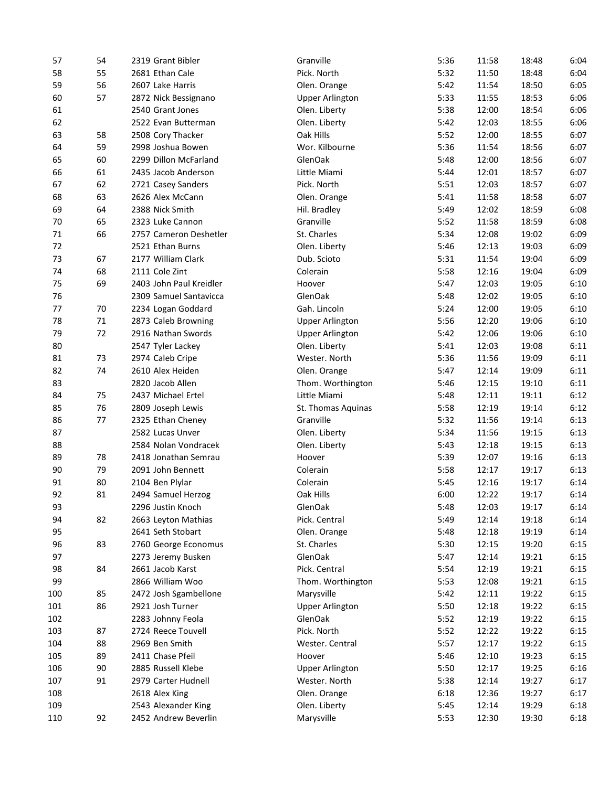| 57         | 54 | 2319 Grant Bibler       | Granville              | 5:36 | 11:58 | 18:48          | 6:04 |
|------------|----|-------------------------|------------------------|------|-------|----------------|------|
| 58         | 55 | 2681 Ethan Cale         | Pick. North            | 5:32 | 11:50 | 18:48          | 6:04 |
| 59         | 56 | 2607 Lake Harris        | Olen. Orange           | 5:42 | 11:54 | 18:50          | 6:05 |
| 60         | 57 | 2872 Nick Bessignano    | <b>Upper Arlington</b> | 5:33 | 11:55 | 18:53          | 6:06 |
| 61         |    | 2540 Grant Jones        | Olen. Liberty          | 5:38 | 12:00 | 18:54          | 6:06 |
| 62         |    | 2522 Evan Butterman     | Olen. Liberty          | 5:42 | 12:03 | 18:55          | 6:06 |
| 63         | 58 | 2508 Cory Thacker       | Oak Hills              | 5:52 | 12:00 | 18:55          | 6:07 |
| 64         | 59 | 2998 Joshua Bowen       | Wor. Kilbourne         | 5:36 | 11:54 | 18:56          | 6:07 |
| 65         | 60 | 2299 Dillon McFarland   | GlenOak                | 5:48 | 12:00 | 18:56          | 6:07 |
| 66         | 61 | 2435 Jacob Anderson     | Little Miami           | 5:44 | 12:01 | 18:57          | 6:07 |
| 67         | 62 | 2721 Casey Sanders      | Pick. North            | 5:51 | 12:03 | 18:57          | 6:07 |
| 68         | 63 | 2626 Alex McCann        | Olen. Orange           | 5:41 | 11:58 | 18:58          | 6:07 |
| 69         | 64 | 2388 Nick Smith         | Hil. Bradley           | 5:49 | 12:02 | 18:59          | 6:08 |
| $70\,$     | 65 | 2323 Luke Cannon        | Granville              | 5:52 | 11:58 | 18:59          | 6:08 |
| $71\,$     | 66 | 2757 Cameron Deshetler  | St. Charles            | 5:34 | 12:08 | 19:02          | 6:09 |
| 72         |    | 2521 Ethan Burns        | Olen. Liberty          | 5:46 | 12:13 | 19:03          | 6:09 |
| 73         | 67 | 2177 William Clark      | Dub. Scioto            | 5:31 | 11:54 | 19:04          | 6:09 |
| 74         | 68 | 2111 Cole Zint          | Colerain               | 5:58 | 12:16 | 19:04          | 6:09 |
| 75         | 69 | 2403 John Paul Kreidler | Hoover                 | 5:47 | 12:03 | 19:05          | 6:10 |
| 76         |    | 2309 Samuel Santavicca  | GlenOak                | 5:48 | 12:02 | 19:05          | 6:10 |
| 77         | 70 | 2234 Logan Goddard      | Gah. Lincoln           | 5:24 | 12:00 | 19:05          | 6:10 |
| 78         | 71 | 2873 Caleb Browning     | <b>Upper Arlington</b> | 5:56 | 12:20 | 19:06          | 6:10 |
| 79         | 72 | 2916 Nathan Swords      | <b>Upper Arlington</b> | 5:42 | 12:06 | 19:06          | 6:10 |
| 80         |    | 2547 Tyler Lackey       | Olen. Liberty          | 5:41 | 12:03 | 19:08          | 6:11 |
| 81         | 73 | 2974 Caleb Cripe        | Wester. North          | 5:36 | 11:56 | 19:09          | 6:11 |
| 82         | 74 | 2610 Alex Heiden        | Olen. Orange           | 5:47 | 12:14 | 19:09          | 6:11 |
| 83         |    | 2820 Jacob Allen        | Thom. Worthington      | 5:46 | 12:15 | 19:10          | 6:11 |
| 84         | 75 | 2437 Michael Ertel      | Little Miami           | 5:48 | 12:11 | 19:11          | 6:12 |
| 85         | 76 | 2809 Joseph Lewis       | St. Thomas Aquinas     | 5:58 | 12:19 | 19:14          | 6:12 |
| 86         | 77 | 2325 Ethan Cheney       | Granville              | 5:32 | 11:56 | 19:14          | 6:13 |
| 87         |    | 2582 Lucas Unver        | Olen. Liberty          | 5:34 | 11:56 | 19:15          | 6:13 |
| 88         |    | 2584 Nolan Vondracek    | Olen. Liberty          | 5:43 | 12:18 | 19:15          | 6:13 |
| 89         | 78 | 2418 Jonathan Semrau    | Hoover                 | 5:39 | 12:07 | 19:16          | 6:13 |
| 90         | 79 | 2091 John Bennett       | Colerain               | 5:58 | 12:17 | 19:17          | 6:13 |
| 91         | 80 | 2104 Ben Plylar         | Colerain               | 5:45 | 12:16 | 19:17          | 6:14 |
| 92         | 81 | 2494 Samuel Herzog      | Oak Hills              | 6:00 | 12:22 | 19:17          | 6:14 |
| 93         |    | 2296 Justin Knoch       | GlenOak                | 5:48 | 12:03 | 19:17          | 6:14 |
| 94         | 82 | 2663 Leyton Mathias     | Pick. Central          | 5:49 | 12:14 | 19:18          | 6:14 |
| 95         |    | 2641 Seth Stobart       | Olen. Orange           | 5:48 | 12:18 | 19:19          | 6:14 |
| 96         | 83 | 2760 George Economus    | St. Charles            | 5:30 | 12:15 | 19:20          | 6:15 |
| 97         |    | 2273 Jeremy Busken      | GlenOak                | 5:47 | 12:14 | 19:21          | 6:15 |
| 98         | 84 | 2661 Jacob Karst        | Pick. Central          | 5:54 | 12:19 | 19:21          | 6:15 |
| 99         |    | 2866 William Woo        | Thom. Worthington      | 5:53 | 12:08 | 19:21          | 6:15 |
| 100        | 85 | 2472 Josh Sgambellone   | Marysville             | 5:42 | 12:11 | 19:22          | 6:15 |
| 101        | 86 | 2921 Josh Turner        | <b>Upper Arlington</b> | 5:50 | 12:18 | 19:22          | 6:15 |
|            |    | 2283 Johnny Feola       | GlenOak                |      |       |                |      |
| 102<br>103 |    |                         |                        | 5:52 | 12:19 | 19:22<br>19:22 | 6:15 |
|            | 87 | 2724 Reece Touvell      | Pick. North            | 5:52 | 12:22 |                | 6:15 |
| 104        | 88 | 2969 Ben Smith          | Wester. Central        | 5:57 | 12:17 | 19:22          | 6:15 |
| 105        | 89 | 2411 Chase Pfeil        | Hoover                 | 5:46 | 12:10 | 19:23          | 6:15 |
| 106        | 90 | 2885 Russell Klebe      | <b>Upper Arlington</b> | 5:50 | 12:17 | 19:25          | 6:16 |
| 107        | 91 | 2979 Carter Hudnell     | Wester. North          | 5:38 | 12:14 | 19:27          | 6:17 |
| 108        |    | 2618 Alex King          | Olen. Orange           | 6:18 | 12:36 | 19:27          | 6:17 |
| 109        |    | 2543 Alexander King     | Olen. Liberty          | 5:45 | 12:14 | 19:29          | 6:18 |
| 110        | 92 | 2452 Andrew Beverlin    | Marysville             | 5:53 | 12:30 | 19:30          | 6:18 |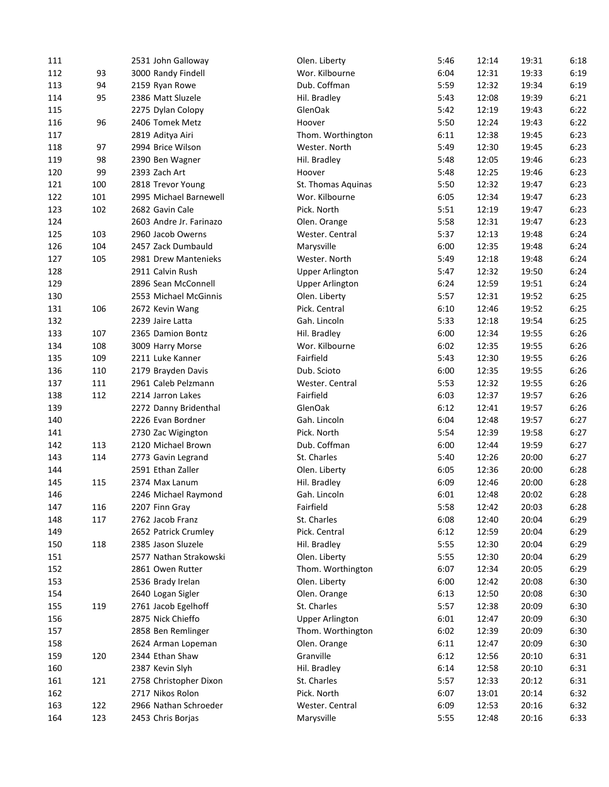| 111 |     | 2531 John Galloway      | Olen. Liberty          | 5:46         | 12:14 | 19:31 | 6:18 |
|-----|-----|-------------------------|------------------------|--------------|-------|-------|------|
| 112 | 93  | 3000 Randy Findell      | Wor. Kilbourne         | 6:04         | 12:31 | 19:33 | 6:19 |
| 113 | 94  | 2159 Ryan Rowe          | Dub. Coffman           | 5:59         | 12:32 | 19:34 | 6:19 |
| 114 | 95  | 2386 Matt Sluzele       | Hil. Bradley           | 5:43         | 12:08 | 19:39 | 6:21 |
| 115 |     | 2275 Dylan Colopy       | GlenOak                | 5:42         | 12:19 | 19:43 | 6:22 |
| 116 | 96  | 2406 Tomek Metz         | Hoover                 | 5:50         | 12:24 | 19:43 | 6:22 |
| 117 |     | 2819 Aditya Airi        | Thom. Worthington      | 6:11         | 12:38 | 19:45 | 6:23 |
| 118 | 97  | 2994 Brice Wilson       | Wester. North          | 5:49         | 12:30 | 19:45 | 6:23 |
| 119 | 98  | 2390 Ben Wagner         | Hil. Bradley           | 5:48         | 12:05 | 19:46 | 6:23 |
| 120 | 99  | 2393 Zach Art           | Hoover                 | 5:48         | 12:25 | 19:46 | 6:23 |
| 121 | 100 | 2818 Trevor Young       | St. Thomas Aquinas     | 5:50         | 12:32 | 19:47 | 6:23 |
| 122 | 101 | 2995 Michael Barnewell  | Wor. Kilbourne         | 6:05         | 12:34 | 19:47 | 6:23 |
| 123 | 102 | 2682 Gavin Cale         | Pick. North            | 5:51         | 12:19 | 19:47 | 6:23 |
| 124 |     | 2603 Andre Jr. Farinazo | Olen. Orange           | 5:58         | 12:31 | 19:47 | 6:23 |
| 125 | 103 | 2960 Jacob Owerns       | Wester. Central        | 5:37         | 12:13 | 19:48 | 6:24 |
| 126 | 104 | 2457 Zack Dumbauld      | Marysville             | 6:00         | 12:35 | 19:48 | 6:24 |
| 127 | 105 | 2981 Drew Mantenieks    | Wester. North          | 5:49         | 12:18 | 19:48 | 6:24 |
| 128 |     | 2911 Calvin Rush        | <b>Upper Arlington</b> | 5:47         | 12:32 | 19:50 | 6:24 |
| 129 |     | 2896 Sean McConnell     | <b>Upper Arlington</b> | 6:24         | 12:59 | 19:51 | 6:24 |
| 130 |     | 2553 Michael McGinnis   | Olen. Liberty          | 5:57         | 12:31 | 19:52 | 6:25 |
|     | 106 |                         | Pick. Central          |              |       | 19:52 | 6:25 |
| 131 |     | 2672 Kevin Wang         | Gah. Lincoln           | 6:10<br>5:33 | 12:46 | 19:54 | 6:25 |
| 132 |     | 2239 Jaire Latta        |                        |              | 12:18 |       |      |
| 133 | 107 | 2365 Damion Bontz       | Hil. Bradley           | 6:00         | 12:34 | 19:55 | 6:26 |
| 134 | 108 | 3009 Harry Morse        | Wor. Kilbourne         | 6:02         | 12:35 | 19:55 | 6:26 |
| 135 | 109 | 2211 Luke Kanner        | Fairfield              | 5:43         | 12:30 | 19:55 | 6:26 |
| 136 | 110 | 2179 Brayden Davis      | Dub. Scioto            | 6:00         | 12:35 | 19:55 | 6:26 |
| 137 | 111 | 2961 Caleb Pelzmann     | Wester. Central        | 5:53         | 12:32 | 19:55 | 6:26 |
| 138 | 112 | 2214 Jarron Lakes       | Fairfield              | 6:03         | 12:37 | 19:57 | 6:26 |
| 139 |     | 2272 Danny Bridenthal   | GlenOak                | 6:12         | 12:41 | 19:57 | 6:26 |
| 140 |     | 2226 Evan Bordner       | Gah. Lincoln           | 6:04         | 12:48 | 19:57 | 6:27 |
| 141 |     | 2730 Zac Wigington      | Pick. North            | 5:54         | 12:39 | 19:58 | 6:27 |
| 142 | 113 | 2120 Michael Brown      | Dub. Coffman           | 6:00         | 12:44 | 19:59 | 6:27 |
| 143 | 114 | 2773 Gavin Legrand      | St. Charles            | 5:40         | 12:26 | 20:00 | 6:27 |
| 144 |     | 2591 Ethan Zaller       | Olen. Liberty          | 6:05         | 12:36 | 20:00 | 6:28 |
| 145 | 115 | 2374 Max Lanum          | Hil. Bradley           | 6:09         | 12:46 | 20:00 | 6:28 |
| 146 |     | 2246 Michael Raymond    | Gah. Lincoln           | 6:01         | 12:48 | 20:02 | 6:28 |
| 147 | 116 | 2207 Finn Gray          | Fairfield              | 5:58         | 12:42 | 20:03 | 6:28 |
| 148 | 117 | 2762 Jacob Franz        | St. Charles            | 6:08         | 12:40 | 20:04 | 6:29 |
| 149 |     | 2652 Patrick Crumley    | Pick. Central          | 6:12         | 12:59 | 20:04 | 6:29 |
| 150 | 118 | 2385 Jason Sluzele      | Hil. Bradley           | 5:55         | 12:30 | 20:04 | 6:29 |
| 151 |     | 2577 Nathan Strakowski  | Olen. Liberty          | 5:55         | 12:30 | 20:04 | 6:29 |
| 152 |     | 2861 Owen Rutter        | Thom. Worthington      | 6:07         | 12:34 | 20:05 | 6:29 |
| 153 |     | 2536 Brady Irelan       | Olen. Liberty          | 6:00         | 12:42 | 20:08 | 6:30 |
| 154 |     | 2640 Logan Sigler       | Olen. Orange           | 6:13         | 12:50 | 20:08 | 6:30 |
| 155 | 119 | 2761 Jacob Egelhoff     | St. Charles            | 5:57         | 12:38 | 20:09 | 6:30 |
| 156 |     | 2875 Nick Chieffo       | <b>Upper Arlington</b> | 6:01         | 12:47 | 20:09 | 6:30 |
| 157 |     | 2858 Ben Remlinger      | Thom. Worthington      | 6:02         | 12:39 | 20:09 | 6:30 |
| 158 |     | 2624 Arman Lopeman      | Olen. Orange           | 6:11         | 12:47 | 20:09 | 6:30 |
| 159 | 120 | 2344 Ethan Shaw         | Granville              | 6:12         | 12:56 | 20:10 | 6:31 |
| 160 |     | 2387 Kevin Slyh         | Hil. Bradley           | 6:14         | 12:58 | 20:10 | 6:31 |
| 161 | 121 | 2758 Christopher Dixon  | St. Charles            | 5:57         | 12:33 | 20:12 | 6:31 |
| 162 |     | 2717 Nikos Rolon        | Pick. North            | 6:07         | 13:01 | 20:14 | 6:32 |
| 163 | 122 | 2966 Nathan Schroeder   | Wester. Central        | 6:09         | 12:53 | 20:16 | 6:32 |
| 164 | 123 | 2453 Chris Borjas       | Marysville             | 5:55         | 12:48 | 20:16 | 6:33 |
|     |     |                         |                        |              |       |       |      |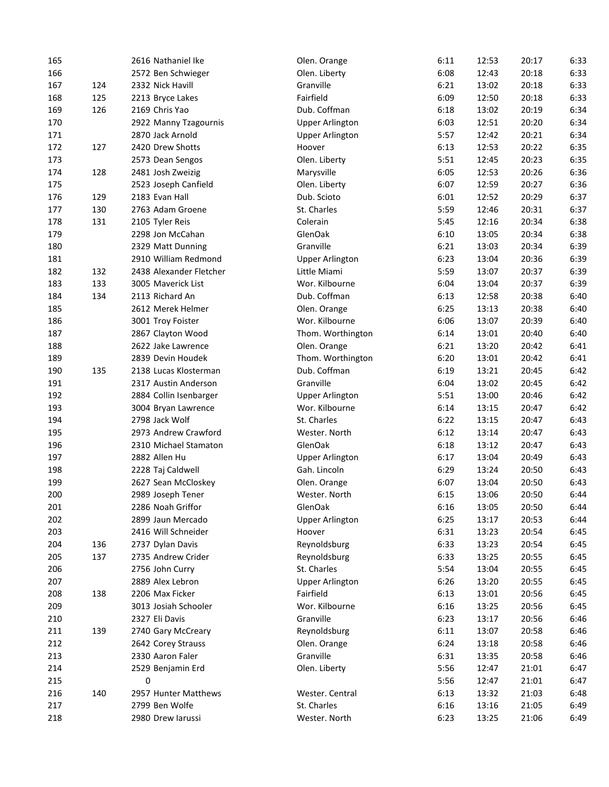| 165 |     | 2616 Nathaniel Ike      | Olen. Orange           | 6:11 | 12:53 | 20:17 | 6:33 |
|-----|-----|-------------------------|------------------------|------|-------|-------|------|
| 166 |     | 2572 Ben Schwieger      | Olen. Liberty          | 6:08 | 12:43 | 20:18 | 6:33 |
| 167 | 124 | 2332 Nick Havill        | Granville              | 6:21 | 13:02 | 20:18 | 6:33 |
| 168 | 125 | 2213 Bryce Lakes        | Fairfield              | 6:09 | 12:50 | 20:18 | 6:33 |
| 169 | 126 | 2169 Chris Yao          | Dub. Coffman           | 6:18 | 13:02 | 20:19 | 6:34 |
| 170 |     | 2922 Manny Tzagournis   | <b>Upper Arlington</b> | 6:03 | 12:51 | 20:20 | 6:34 |
| 171 |     | 2870 Jack Arnold        | <b>Upper Arlington</b> | 5:57 | 12:42 | 20:21 | 6:34 |
| 172 | 127 | 2420 Drew Shotts        | Hoover                 | 6:13 | 12:53 | 20:22 | 6:35 |
| 173 |     | 2573 Dean Sengos        | Olen. Liberty          | 5:51 | 12:45 | 20:23 | 6:35 |
| 174 | 128 | 2481 Josh Zweizig       | Marysville             | 6:05 | 12:53 | 20:26 | 6:36 |
| 175 |     | 2523 Joseph Canfield    | Olen. Liberty          | 6:07 | 12:59 | 20:27 | 6:36 |
| 176 | 129 | 2183 Evan Hall          | Dub. Scioto            | 6:01 | 12:52 | 20:29 | 6:37 |
| 177 | 130 | 2763 Adam Groene        | St. Charles            | 5:59 | 12:46 | 20:31 | 6:37 |
| 178 | 131 | 2105 Tyler Reis         | Colerain               | 5:45 | 12:16 | 20:34 | 6:38 |
| 179 |     | 2298 Jon McCahan        | GlenOak                | 6:10 | 13:05 | 20:34 | 6:38 |
| 180 |     | 2329 Matt Dunning       | Granville              | 6:21 | 13:03 | 20:34 | 6:39 |
| 181 |     | 2910 William Redmond    | <b>Upper Arlington</b> | 6:23 | 13:04 | 20:36 | 6:39 |
| 182 | 132 | 2438 Alexander Fletcher | Little Miami           | 5:59 | 13:07 | 20:37 | 6:39 |
| 183 | 133 | 3005 Maverick List      | Wor. Kilbourne         | 6:04 | 13:04 | 20:37 | 6:39 |
| 184 | 134 | 2113 Richard An         | Dub. Coffman           | 6:13 | 12:58 | 20:38 | 6:40 |
| 185 |     | 2612 Merek Helmer       | Olen. Orange           | 6:25 | 13:13 | 20:38 | 6:40 |
| 186 |     | 3001 Troy Foister       | Wor. Kilbourne         | 6:06 | 13:07 | 20:39 | 6:40 |
| 187 |     | 2867 Clayton Wood       | Thom. Worthington      | 6:14 | 13:01 | 20:40 | 6:40 |
| 188 |     | 2622 Jake Lawrence      | Olen. Orange           | 6:21 | 13:20 | 20:42 | 6:41 |
| 189 |     | 2839 Devin Houdek       | Thom. Worthington      | 6:20 | 13:01 | 20:42 | 6:41 |
|     | 135 | 2138 Lucas Klosterman   | Dub. Coffman           | 6:19 |       | 20:45 | 6:42 |
| 190 |     |                         | Granville              |      | 13:21 | 20:45 | 6:42 |
| 191 |     | 2317 Austin Anderson    |                        | 6:04 | 13:02 |       |      |
| 192 |     | 2884 Collin Isenbarger  | <b>Upper Arlington</b> | 5:51 | 13:00 | 20:46 | 6:42 |
| 193 |     | 3004 Bryan Lawrence     | Wor. Kilbourne         | 6:14 | 13:15 | 20:47 | 6:42 |
| 194 |     | 2798 Jack Wolf          | St. Charles            | 6:22 | 13:15 | 20:47 | 6:43 |
| 195 |     | 2973 Andrew Crawford    | Wester. North          | 6:12 | 13:14 | 20:47 | 6:43 |
| 196 |     | 2310 Michael Stamaton   | GlenOak                | 6:18 | 13:12 | 20:47 | 6:43 |
| 197 |     | 2882 Allen Hu           | <b>Upper Arlington</b> | 6:17 | 13:04 | 20:49 | 6:43 |
| 198 |     | 2228 Taj Caldwell       | Gah. Lincoln           | 6:29 | 13:24 | 20:50 | 6:43 |
| 199 |     | 2627 Sean McCloskey     | Olen. Orange           | 6:07 | 13:04 | 20:50 | 6:43 |
| 200 |     | 2989 Joseph Tener       | Wester. North          | 6:15 | 13:06 | 20:50 | 6:44 |
| 201 |     | 2286 Noah Griffor       | GlenOak                | 6:16 | 13:05 | 20:50 | 6:44 |
| 202 |     | 2899 Jaun Mercado       | <b>Upper Arlington</b> | 6:25 | 13:17 | 20:53 | 6:44 |
| 203 |     | 2416 Will Schneider     | Hoover                 | 6:31 | 13:23 | 20:54 | 6:45 |
| 204 | 136 | 2737 Dylan Davis        | Reynoldsburg           | 6:33 | 13:23 | 20:54 | 6:45 |
| 205 | 137 | 2735 Andrew Crider      | Reynoldsburg           | 6:33 | 13:25 | 20:55 | 6:45 |
| 206 |     | 2756 John Curry         | St. Charles            | 5:54 | 13:04 | 20:55 | 6:45 |
| 207 |     | 2889 Alex Lebron        | <b>Upper Arlington</b> | 6:26 | 13:20 | 20:55 | 6:45 |
| 208 | 138 | 2206 Max Ficker         | Fairfield              | 6:13 | 13:01 | 20:56 | 6:45 |
| 209 |     | 3013 Josiah Schooler    | Wor. Kilbourne         | 6:16 | 13:25 | 20:56 | 6:45 |
| 210 |     | 2327 Eli Davis          | Granville              | 6:23 | 13:17 | 20:56 | 6:46 |
| 211 | 139 | 2740 Gary McCreary      | Reynoldsburg           | 6:11 | 13:07 | 20:58 | 6:46 |
| 212 |     | 2642 Corey Strauss      | Olen. Orange           | 6:24 | 13:18 | 20:58 | 6:46 |
| 213 |     | 2330 Aaron Faler        | Granville              | 6:31 | 13:35 | 20:58 | 6:46 |
| 214 |     | 2529 Benjamin Erd       | Olen. Liberty          | 5:56 | 12:47 | 21:01 | 6:47 |
| 215 |     | 0                       |                        | 5:56 | 12:47 | 21:01 | 6:47 |
| 216 | 140 | 2957 Hunter Matthews    | Wester. Central        | 6:13 | 13:32 | 21:03 | 6:48 |
| 217 |     | 2799 Ben Wolfe          | St. Charles            | 6:16 | 13:16 | 21:05 | 6:49 |
| 218 |     | 2980 Drew larussi       | Wester. North          | 6:23 | 13:25 | 21:06 | 6:49 |
|     |     |                         |                        |      |       |       |      |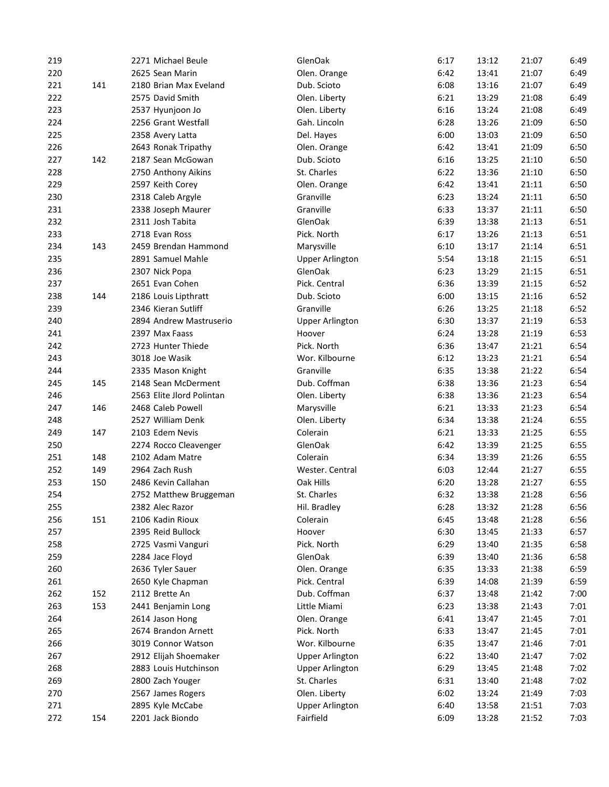| 219 |     | 2271 Michael Beule        | GlenOak                | 6:17 | 13:12 | 21:07 | 6:49 |
|-----|-----|---------------------------|------------------------|------|-------|-------|------|
| 220 |     | 2625 Sean Marin           | Olen. Orange           | 6:42 | 13:41 | 21:07 | 6:49 |
| 221 | 141 | 2180 Brian Max Eveland    | Dub. Scioto            | 6:08 | 13:16 | 21:07 | 6:49 |
| 222 |     | 2575 David Smith          | Olen. Liberty          | 6:21 | 13:29 | 21:08 | 6:49 |
| 223 |     | 2537 Hyunjoon Jo          | Olen. Liberty          | 6:16 | 13:24 | 21:08 | 6:49 |
| 224 |     | 2256 Grant Westfall       | Gah. Lincoln           | 6:28 | 13:26 | 21:09 | 6:50 |
| 225 |     | 2358 Avery Latta          | Del. Hayes             | 6:00 | 13:03 | 21:09 | 6:50 |
| 226 |     | 2643 Ronak Tripathy       | Olen. Orange           | 6:42 | 13:41 | 21:09 | 6:50 |
| 227 | 142 | 2187 Sean McGowan         | Dub. Scioto            | 6:16 | 13:25 | 21:10 | 6:50 |
| 228 |     | 2750 Anthony Aikins       | St. Charles            | 6:22 | 13:36 | 21:10 | 6:50 |
| 229 |     | 2597 Keith Corey          | Olen. Orange           | 6:42 | 13:41 | 21:11 | 6:50 |
| 230 |     | 2318 Caleb Argyle         | Granville              | 6:23 | 13:24 | 21:11 | 6:50 |
| 231 |     | 2338 Joseph Maurer        | Granville              | 6:33 | 13:37 | 21:11 | 6:50 |
| 232 |     | 2311 Josh Tabita          | GlenOak                | 6:39 | 13:38 | 21:13 | 6:51 |
| 233 |     | 2718 Evan Ross            | Pick. North            | 6:17 | 13:26 | 21:13 | 6:51 |
| 234 | 143 | 2459 Brendan Hammond      | Marysville             | 6:10 | 13:17 | 21:14 | 6:51 |
| 235 |     | 2891 Samuel Mahle         | <b>Upper Arlington</b> | 5:54 | 13:18 | 21:15 | 6:51 |
| 236 |     | 2307 Nick Popa            | GlenOak                | 6:23 | 13:29 | 21:15 | 6:51 |
| 237 |     | 2651 Evan Cohen           | Pick. Central          | 6:36 | 13:39 | 21:15 | 6:52 |
| 238 | 144 | 2186 Louis Lipthratt      | Dub. Scioto            | 6:00 | 13:15 | 21:16 | 6:52 |
| 239 |     | 2346 Kieran Sutliff       | Granville              | 6:26 | 13:25 | 21:18 | 6:52 |
| 240 |     | 2894 Andrew Mastruserio   | <b>Upper Arlington</b> | 6:30 | 13:37 | 21:19 | 6:53 |
| 241 |     | 2397 Max Faass            | Hoover                 | 6:24 | 13:28 | 21:19 | 6:53 |
| 242 |     | 2723 Hunter Thiede        | Pick. North            | 6:36 | 13:47 | 21:21 | 6:54 |
|     |     |                           |                        |      |       |       |      |
| 243 |     | 3018 Joe Wasik            | Wor. Kilbourne         | 6:12 | 13:23 | 21:21 | 6:54 |
| 244 |     | 2335 Mason Knight         | Granville              | 6:35 | 13:38 | 21:22 | 6:54 |
| 245 | 145 | 2148 Sean McDerment       | Dub. Coffman           | 6:38 | 13:36 | 21:23 | 6:54 |
| 246 |     | 2563 Elite Jlord Polintan | Olen. Liberty          | 6:38 | 13:36 | 21:23 | 6:54 |
| 247 | 146 | 2468 Caleb Powell         | Marysville             | 6:21 | 13:33 | 21:23 | 6:54 |
| 248 |     | 2527 William Denk         | Olen. Liberty          | 6:34 | 13:38 | 21:24 | 6:55 |
| 249 | 147 | 2103 Edem Nevis           | Colerain               | 6:21 | 13:33 | 21:25 | 6:55 |
| 250 |     | 2274 Rocco Cleavenger     | GlenOak                | 6:42 | 13:39 | 21:25 | 6:55 |
| 251 | 148 | 2102 Adam Matre           | Colerain               | 6:34 | 13:39 | 21:26 | 6:55 |
| 252 | 149 | 2964 Zach Rush            | Wester. Central        | 6:03 | 12:44 | 21:27 | 6:55 |
| 253 | 150 | 2486 Kevin Callahan       | Oak Hills              | 6:20 | 13:28 | 21:27 | 6:55 |
| 254 |     | 2752 Matthew Bruggeman    | St. Charles            | 6:32 | 13:38 | 21:28 | 6:56 |
| 255 |     | 2382 Alec Razor           | Hil. Bradley           | 6:28 | 13:32 | 21:28 | 6:56 |
| 256 | 151 | 2106 Kadin Rioux          | Colerain               | 6:45 | 13:48 | 21:28 | 6:56 |
| 257 |     | 2395 Reid Bullock         | Hoover                 | 6:30 | 13:45 | 21:33 | 6:57 |
| 258 |     | 2725 Vasmi Vanguri        | Pick. North            | 6:29 | 13:40 | 21:35 | 6:58 |
| 259 |     | 2284 Jace Floyd           | GlenOak                | 6:39 | 13:40 | 21:36 | 6:58 |
| 260 |     | 2636 Tyler Sauer          | Olen. Orange           | 6:35 | 13:33 | 21:38 | 6:59 |
| 261 |     | 2650 Kyle Chapman         | Pick. Central          | 6:39 | 14:08 | 21:39 | 6:59 |
| 262 | 152 | 2112 Brette An            | Dub. Coffman           | 6:37 | 13:48 | 21:42 | 7:00 |
| 263 | 153 | 2441 Benjamin Long        | Little Miami           | 6:23 | 13:38 | 21:43 | 7:01 |
| 264 |     | 2614 Jason Hong           | Olen. Orange           | 6:41 | 13:47 | 21:45 | 7:01 |
| 265 |     | 2674 Brandon Arnett       | Pick. North            | 6:33 | 13:47 | 21:45 | 7:01 |
| 266 |     | 3019 Connor Watson        | Wor. Kilbourne         | 6:35 | 13:47 | 21:46 | 7:01 |
| 267 |     | 2912 Elijah Shoemaker     | <b>Upper Arlington</b> | 6:22 | 13:40 | 21:47 | 7:02 |
| 268 |     | 2883 Louis Hutchinson     | <b>Upper Arlington</b> | 6:29 | 13:45 | 21:48 | 7:02 |
| 269 |     | 2800 Zach Youger          | St. Charles            | 6:31 | 13:40 | 21:48 | 7:02 |
| 270 |     | 2567 James Rogers         | Olen. Liberty          | 6:02 | 13:24 | 21:49 | 7:03 |
| 271 |     | 2895 Kyle McCabe          | <b>Upper Arlington</b> | 6:40 | 13:58 | 21:51 | 7:03 |
| 272 | 154 | 2201 Jack Biondo          | Fairfield              | 6:09 | 13:28 | 21:52 | 7:03 |
|     |     |                           |                        |      |       |       |      |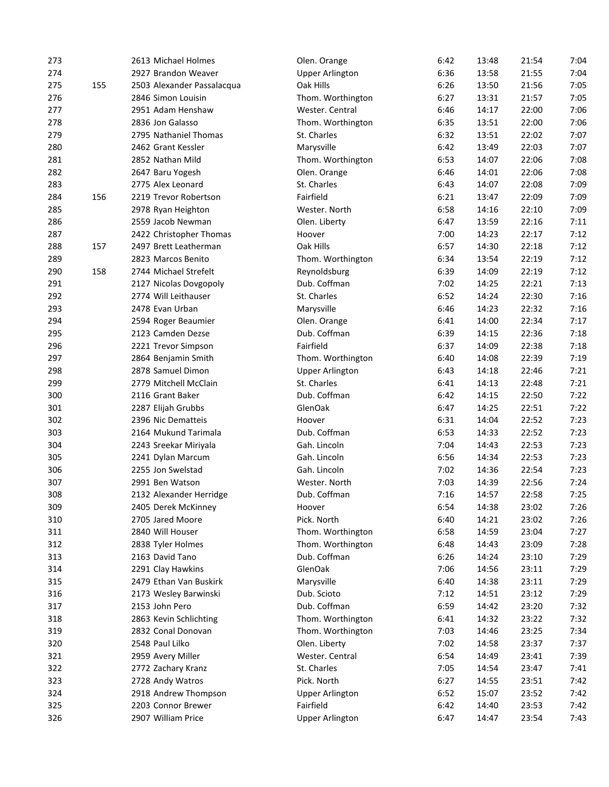| 273 |     | 2613 Michael Holmes        | Olen. Orange                          | 6:42 | 13:48 | 21:54 | 7:04 |
|-----|-----|----------------------------|---------------------------------------|------|-------|-------|------|
| 274 |     | 2927 Brandon Weaver        | <b>Upper Arlington</b>                | 6:36 | 13:58 | 21:55 | 7:04 |
| 275 | 155 | 2503 Alexander Passalacqua | Oak Hills                             | 6:26 | 13:50 | 21:56 | 7:05 |
| 276 |     | 2846 Simon Louisin         | Thom. Worthington                     | 6:27 | 13:31 | 21:57 | 7:05 |
| 277 |     | 2951 Adam Henshaw          | Wester. Central                       | 6:46 | 14:17 | 22:00 | 7:06 |
| 278 |     | 2836 Jon Galasso           | Thom. Worthington                     | 6:35 | 13:51 | 22:00 | 7:06 |
| 279 |     | 2795 Nathaniel Thomas      | St. Charles                           | 6:32 | 13:51 | 22:02 | 7:07 |
| 280 |     | 2462 Grant Kessler         | Marysville                            | 6:42 | 13:49 | 22:03 | 7:07 |
| 281 |     | 2852 Nathan Mild           | Thom. Worthington                     | 6:53 | 14:07 | 22:06 | 7:08 |
| 282 |     | 2647 Baru Yogesh           | Olen. Orange                          | 6:46 | 14:01 | 22:06 | 7:08 |
| 283 |     | 2775 Alex Leonard          | St. Charles                           | 6:43 | 14:07 | 22:08 | 7:09 |
| 284 | 156 | 2219 Trevor Robertson      | Fairfield                             | 6:21 | 13:47 | 22:09 | 7:09 |
| 285 |     | 2978 Ryan Heighton         | Wester. North                         | 6:58 | 14:16 | 22:10 | 7:09 |
| 286 |     | 2559 Jacob Newman          | Olen. Liberty                         | 6:47 | 13:59 | 22:16 | 7:11 |
| 287 |     | 2422 Christopher Thomas    | Hoover                                | 7:00 | 14:23 | 22:17 | 7:12 |
| 288 | 157 | 2497 Brett Leatherman      | Oak Hills                             | 6:57 | 14:30 | 22:18 | 7:12 |
| 289 |     | 2823 Marcos Benito         | Thom. Worthington                     | 6:34 | 13:54 | 22:19 | 7:12 |
| 290 | 158 | 2744 Michael Strefelt      | Reynoldsburg                          | 6:39 | 14:09 | 22:19 | 7:12 |
| 291 |     | 2127 Nicolas Dovgopoly     | Dub. Coffman                          | 7:02 | 14:25 | 22:21 | 7:13 |
| 292 |     | 2774 Will Leithauser       | St. Charles                           | 6:52 | 14:24 | 22:30 | 7:16 |
| 293 |     | 2478 Evan Urban            | Marysville                            | 6:46 | 14:23 | 22:32 | 7:16 |
| 294 |     | 2594 Roger Beaumier        | Olen. Orange                          | 6:41 | 14:00 | 22:34 | 7:17 |
| 295 |     | 2123 Camden Dezse          | Dub. Coffman                          | 6:39 | 14:15 | 22:36 | 7:18 |
| 296 |     | 2221 Trevor Simpson        | Fairfield                             | 6:37 | 14:09 | 22:38 | 7:18 |
| 297 |     | 2864 Benjamin Smith        | Thom. Worthington                     | 6:40 | 14:08 | 22:39 | 7:19 |
|     |     | 2878 Samuel Dimon          |                                       |      |       | 22:46 | 7:21 |
| 298 |     | 2779 Mitchell McClain      | <b>Upper Arlington</b><br>St. Charles | 6:43 | 14:18 |       | 7:21 |
| 299 |     |                            |                                       | 6:41 | 14:13 | 22:48 |      |
| 300 |     | 2116 Grant Baker           | Dub. Coffman                          | 6:42 | 14:15 | 22:50 | 7:22 |
| 301 |     | 2287 Elijah Grubbs         | GlenOak                               | 6:47 | 14:25 | 22:51 | 7:22 |
| 302 |     | 2396 Nic Dematteis         | Hoover                                | 6:31 | 14:04 | 22:52 | 7:23 |
| 303 |     | 2164 Mukund Tarimala       | Dub. Coffman                          | 6:53 | 14:33 | 22:52 | 7:23 |
| 304 |     | 2243 Sreekar Miriyala      | Gah. Lincoln                          | 7:04 | 14:43 | 22:53 | 7:23 |
| 305 |     | 2241 Dylan Marcum          | Gah. Lincoln                          | 6:56 | 14:34 | 22:53 | 7:23 |
| 306 |     | 2255 Jon Swelstad          | Gah. Lincoln                          | 7:02 | 14:36 | 22:54 | 7:23 |
| 307 |     | 2991 Ben Watson            | Wester. North                         | 7:03 | 14:39 | 22:56 | 7:24 |
| 308 |     | 2132 Alexander Herridge    | Dub. Coffman                          | 7:16 | 14:57 | 22:58 | 7:25 |
| 309 |     | 2405 Derek McKinney        | Hoover                                | 6:54 | 14:38 | 23:02 | 7:26 |
| 310 |     | 2705 Jared Moore           | Pick. North                           | 6:40 | 14:21 | 23:02 | 7:26 |
| 311 |     | 2840 Will Houser           | Thom. Worthington                     | 6:58 | 14:59 | 23:04 | 7:27 |
| 312 |     | 2838 Tyler Holmes          | Thom. Worthington                     | 6:48 | 14:43 | 23:09 | 7:28 |
| 313 |     | 2163 David Tano            | Dub. Coffman                          | 6:26 | 14:24 | 23:10 | 7:29 |
| 314 |     | 2291 Clay Hawkins          | GlenOak                               | 7:06 | 14:56 | 23:11 | 7:29 |
| 315 |     | 2479 Ethan Van Buskirk     | Marysville                            | 6:40 | 14:38 | 23:11 | 7:29 |
| 316 |     | 2173 Wesley Barwinski      | Dub. Scioto                           | 7:12 | 14:51 | 23:12 | 7:29 |
| 317 |     | 2153 John Pero             | Dub. Coffman                          | 6:59 | 14:42 | 23:20 | 7:32 |
| 318 |     | 2863 Kevin Schlichting     | Thom. Worthington                     | 6:41 | 14:32 | 23:22 | 7:32 |
| 319 |     | 2832 Conal Donovan         | Thom. Worthington                     | 7:03 | 14:46 | 23:25 | 7:34 |
| 320 |     | 2548 Paul Lilko            | Olen. Liberty                         | 7:02 | 14:58 | 23:37 | 7:37 |
| 321 |     | 2959 Avery Miller          | Wester. Central                       | 6:54 | 14:49 | 23:41 | 7:39 |
| 322 |     | 2772 Zachary Kranz         | St. Charles                           | 7:05 | 14:54 | 23:47 | 7:41 |
| 323 |     | 2728 Andy Watros           | Pick. North                           | 6:27 | 14:55 | 23:51 | 7:42 |
| 324 |     | 2918 Andrew Thompson       | <b>Upper Arlington</b>                | 6:52 | 15:07 | 23:52 | 7:42 |
| 325 |     | 2203 Connor Brewer         | Fairfield                             | 6:42 | 14:40 | 23:53 | 7:42 |
| 326 |     | 2907 William Price         | <b>Upper Arlington</b>                | 6:47 | 14:47 | 23:54 | 7:43 |
|     |     |                            |                                       |      |       |       |      |